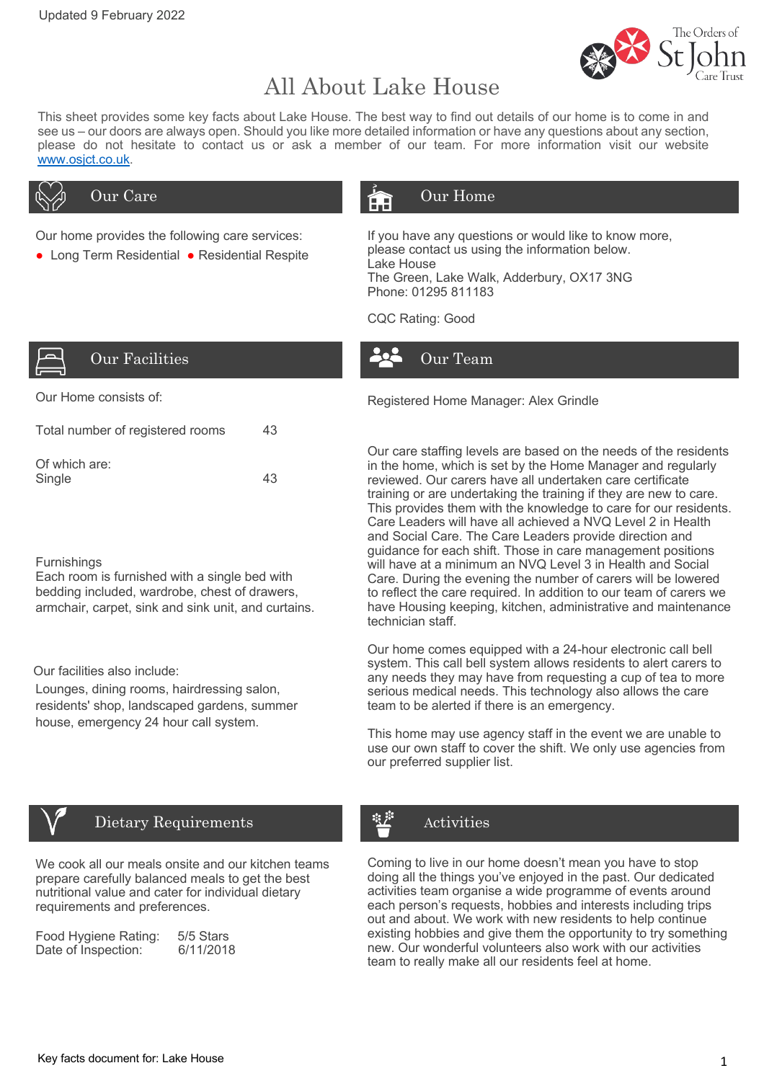

# All About Lake House

This sheet provides some key facts about Lake House. The best way to find out details of our home is to come in and see us – our doors are always open. Should you like more detailed information or have any questions about any section, please do not hesitate to contact us or ask a member of our team. For more information visit our website www.osjct.co.uk.



Our home provides the following care services:

● Long Term Residential ● Residential Respite

# Our Care **Care Care Council Algebra** Our Home

If you have any questions or would like to know more, please contact us using the information below. Lake House The Green, Lake Walk, Adderbury, OX17 3NG Phone: 01295 811183

CQC Rating: Good



| Our Facilities |
|----------------|

| Total number of registered rooms | 43 |
|----------------------------------|----|
| Of which are:<br>Single          | 43 |

### **Furnishings**

Each room is furnished with a single bed with bedding included, wardrobe, chest of drawers, armchair, carpet, sink and sink unit, and curtains.

Our facilities also include:

Lounges, dining rooms, hairdressing salon, residents' shop, landscaped gardens, summer house, emergency 24 hour call system.



## Dietary Requirements

We cook all our meals onsite and our kitchen teams prepare carefully balanced meals to get the best nutritional value and cater for individual dietary requirements and preferences.

| Food Hygiene Rating: | 5/5 Stars |
|----------------------|-----------|
| Date of Inspection:  | 6/11/2018 |

Our Home consists of: The Constant of the Registered Home Manager: Alex Grindle

Our Team

Our care staffing levels are based on the needs of the residents in the home, which is set by the Home Manager and regularly reviewed. Our carers have all undertaken care certificate training or are undertaking the training if they are new to care. This provides them with the knowledge to care for our residents. Care Leaders will have all achieved a NVQ Level 2 in Health and Social Care. The Care Leaders provide direction and guidance for each shift. Those in care management positions will have at a minimum an NVQ Level 3 in Health and Social Care. During the evening the number of carers will be lowered to reflect the care required. In addition to our team of carers we have Housing keeping, kitchen, administrative and maintenance technician staff.

Our home comes equipped with a 24-hour electronic call bell system. This call bell system allows residents to alert carers to any needs they may have from requesting a cup of tea to more serious medical needs. This technology also allows the care team to be alerted if there is an emergency.

This home may use agency staff in the event we are unable to use our own staff to cover the shift. We only use agencies from our preferred supplier list.

# Activities

Coming to live in our home doesn't mean you have to stop doing all the things you've enjoyed in the past. Our dedicated activities team organise a wide programme of events around each person's requests, hobbies and interests including trips out and about. We work with new residents to help continue existing hobbies and give them the opportunity to try something new. Our wonderful volunteers also work with our activities team to really make all our residents feel at home.